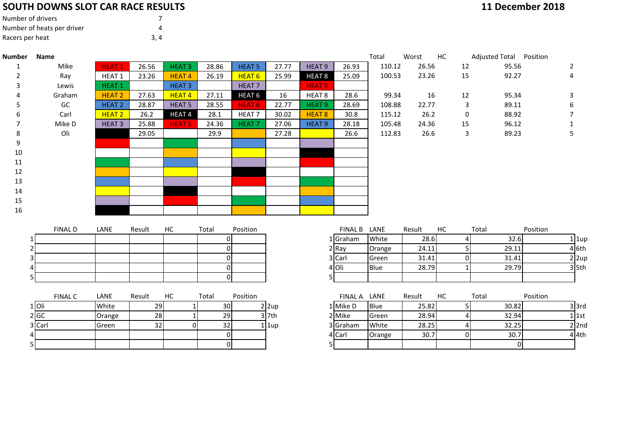## **SOUTH DOWNS SLOT CAR RACE RESULTS**

| Number of drivers          |     |  |
|----------------------------|-----|--|
| Number of heats per driver | Δ   |  |
| Racers per heat            | 3.4 |  |

| 11 December 2018 |
|------------------|
|------------------|

| <b>Number</b> | <b>Name</b>    |               |        |                   |                |                   |                         |                   |                | Total  | Worst  | HC             | Adjusted Total Position |                |
|---------------|----------------|---------------|--------|-------------------|----------------|-------------------|-------------------------|-------------------|----------------|--------|--------|----------------|-------------------------|----------------|
| 1             | Mike           | <b>HEAT 1</b> | 26.56  | <b>HEAT3</b>      | 28.86          | <b>HEAT 5</b>     | 27.77                   | HEAT <sub>9</sub> | 26.93          | 110.12 | 26.56  | 12             | 95.56                   | 2              |
| 2             | Ray            | HEAT 1        | 23.26  | <b>HEAT4</b>      | 26.19          | HEAT <sub>6</sub> | 25.99                   | HEAT <sub>8</sub> | 25.09          | 100.53 | 23.26  | 15             | 92.27                   | 4              |
|               | Lewis          | <b>HEAT1</b>  |        | <b>HEAT3</b>      |                | HEAT <sub>7</sub> |                         | <b>HEAT 9</b>     |                |        |        |                |                         |                |
|               | Graham         | <b>HEAT 2</b> | 27.63  | <b>HEAT4</b>      | 27.11          | HEAT <sub>6</sub> | 16                      | HEAT <sub>8</sub> | 28.6           | 99.34  | 16     | 12             | 95.34                   | 3              |
|               | GC             | <b>HEAT 2</b> | 28.87  | <b>HEAT 5</b>     | 28.55          | <b>HEAT 6</b>     | 22.77                   | <b>HEAT 9</b>     | 28.69          | 108.88 | 22.77  | 3              | 89.11                   | 6              |
|               | Carl           | <b>HEAT 2</b> | 26.2   | HEAT <sub>4</sub> | 28.1           | HEAT <sub>7</sub> | 30.02                   | HEAT <sub>8</sub> | 30.8           | 115.12 | 26.2   | 0              | 88.92                   | 7              |
| 7             | Mike D         | <b>HEAT 3</b> | 25.88  | <b>HEAT 5</b>     | 24.36          | <b>HEAT7</b>      | 27.06                   | HEAT <sub>9</sub> | 28.18          | 105.48 | 24.36  | 15             | 96.12                   |                |
| 8             | Oli            |               | 29.05  |                   | 29.9           |                   | 27.28                   |                   | 26.6           | 112.83 | 26.6   | 3              | 89.23                   | 5              |
| 9             |                |               |        |                   |                |                   |                         |                   |                |        |        |                |                         |                |
| 10            |                |               |        |                   |                |                   |                         |                   |                |        |        |                |                         |                |
| 11            |                |               |        |                   |                |                   |                         |                   |                |        |        |                |                         |                |
| 12            |                |               |        |                   |                |                   |                         |                   |                |        |        |                |                         |                |
| 13            |                |               |        |                   |                |                   |                         |                   |                |        |        |                |                         |                |
| 14            |                |               |        |                   |                |                   |                         |                   |                |        |        |                |                         |                |
| 15            |                |               |        |                   |                |                   |                         |                   |                |        |        |                |                         |                |
| 16            |                |               |        |                   |                |                   |                         |                   |                |        |        |                |                         |                |
|               |                |               |        |                   |                |                   |                         |                   |                |        |        |                |                         |                |
|               | <b>FINAL D</b> | LANE          | Result | HC                | Total          | Position          |                         |                   | <b>FINAL B</b> | LANE   | Result | HC             | Total                   | Position       |
|               |                |               |        |                   | $\Omega$       |                   |                         |                   | 1 Graham       | White  | 28.6   |                | 32.6                    | $1$   1up      |
|               |                |               |        |                   | $\Omega$       |                   |                         |                   | 2 Ray          | Orange | 24.11  | 5              | 29.11                   | $4$ 6th        |
|               |                |               |        |                   | $\Omega$       |                   |                         |                   | 3 Carl         | Green  | 31.41  | 0              | 31.41                   | $2 \text{2up}$ |
|               |                |               |        |                   | $\Omega$       |                   |                         |                   | 4 Oli          | Blue   | 28.79  |                | 29.79                   | $3$ 5th        |
|               |                |               |        |                   | $\Omega$       |                   |                         | 5.                |                |        |        |                |                         |                |
|               |                |               |        |                   |                |                   |                         |                   |                |        |        |                |                         |                |
|               | <b>FINAL C</b> | LANE          | Result | HC                | Total          | Position          |                         |                   | FINAL A LANE   |        | Result | HC             | Total                   | Position       |
|               | $1$ Oli        | White         | 29     | $1\overline{ }$   | 30             |                   | $2 \vert 2 \mathrm{up}$ |                   | 1 Mike D       | Blue   | 25.82  | 5 <sub>l</sub> | 30.82                   | $3$ 3rd        |
|               | 2 GC           | Orange        | 28     | $\mathbf 1$       | 29             |                   | $3$ 7th                 |                   | 2 Mike         | Green  | 28.94  |                | 32.94                   | $1$ 1st        |
|               | 3 Carl         | Green         | 32     | $\overline{0}$    | 32             |                   | $1$   1up               |                   | 3 Graham       | White  | 28.25  |                | 32.25                   | $2$ 2nd        |
|               |                |               |        |                   | $\overline{0}$ |                   |                         |                   | 4 Carl         | Orange | 30.7   | $\Omega$       | 30.7                    | 4 4th          |
|               |                |               |        |                   | $\Omega$       |                   |                         |                   |                |        |        |                |                         |                |